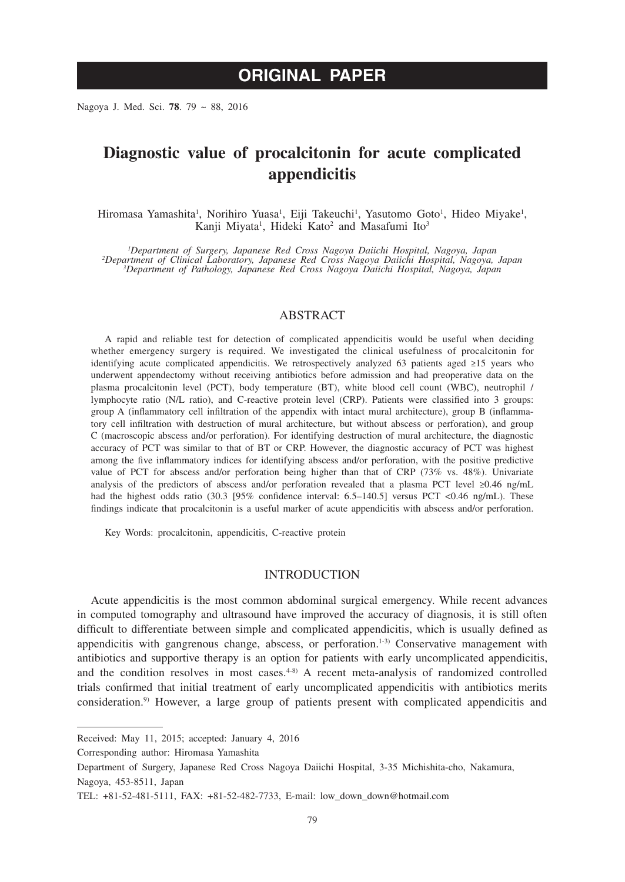# **ORIGINAL PAPER**

Nagoya J. Med. Sci. **78**. 79 ~ 88, 2016

# **Diagnostic value of procalcitonin for acute complicated appendicitis**

Hiromasa Yamashita<sup>1</sup>, Norihiro Yuasa<sup>1</sup>, Eiji Takeuchi<sup>1</sup>, Yasutomo Goto<sup>1</sup>, Hideo Miyake<sup>1</sup>, Kanji Miyata<sup>1</sup>, Hideki Kato<sup>2</sup> and Masafumi Ito<sup>3</sup>

*1 Department of Surgery, Japanese Red Cross Nagoya Daiichi Hospital, Nagoya, Japan <sup>2</sup> Department of Clinical Laboratory, Japanese Red Cross Nagoya Daiichi Hospital, Nagoya, Japan <sup>3</sup> Department of Pathology, Japanese Red Cross Nagoya Daiichi Hospital, Nagoya, Japan*

# ABSTRACT

A rapid and reliable test for detection of complicated appendicitis would be useful when deciding whether emergency surgery is required. We investigated the clinical usefulness of procalcitonin for identifying acute complicated appendicitis. We retrospectively analyzed 63 patients aged ≥15 years who underwent appendectomy without receiving antibiotics before admission and had preoperative data on the plasma procalcitonin level (PCT), body temperature (BT), white blood cell count (WBC), neutrophil / lymphocyte ratio (N/L ratio), and C-reactive protein level (CRP). Patients were classified into 3 groups: group A (inflammatory cell infiltration of the appendix with intact mural architecture), group B (inflammatory cell infiltration with destruction of mural architecture, but without abscess or perforation), and group C (macroscopic abscess and/or perforation). For identifying destruction of mural architecture, the diagnostic accuracy of PCT was similar to that of BT or CRP. However, the diagnostic accuracy of PCT was highest among the five inflammatory indices for identifying abscess and/or perforation, with the positive predictive value of PCT for abscess and/or perforation being higher than that of CRP (73% vs. 48%). Univariate analysis of the predictors of abscess and/or perforation revealed that a plasma PCT level ≥0.46 ng/mL had the highest odds ratio (30.3 [95% confidence interval: 6.5–140.5] versus PCT <0.46 ng/mL). These findings indicate that procalcitonin is a useful marker of acute appendicitis with abscess and/or perforation.

Key Words: procalcitonin, appendicitis, C-reactive protein

# INTRODUCTION

Acute appendicitis is the most common abdominal surgical emergency. While recent advances in computed tomography and ultrasound have improved the accuracy of diagnosis, it is still often difficult to differentiate between simple and complicated appendicitis, which is usually defined as appendicitis with gangrenous change, abscess, or perforation.<sup>1-3)</sup> Conservative management with antibiotics and supportive therapy is an option for patients with early uncomplicated appendicitis, and the condition resolves in most cases. $4-8$ <sup>3</sup> A recent meta-analysis of randomized controlled trials confirmed that initial treatment of early uncomplicated appendicitis with antibiotics merits consideration.9) However, a large group of patients present with complicated appendicitis and

Corresponding author: Hiromasa Yamashita

Received: May 11, 2015; accepted: January 4, 2016

Department of Surgery, Japanese Red Cross Nagoya Daiichi Hospital, 3-35 Michishita-cho, Nakamura, Nagoya, 453-8511, Japan

TEL: +81-52-481-5111, FAX: +81-52-482-7733, E-mail: low\_down\_down@hotmail.com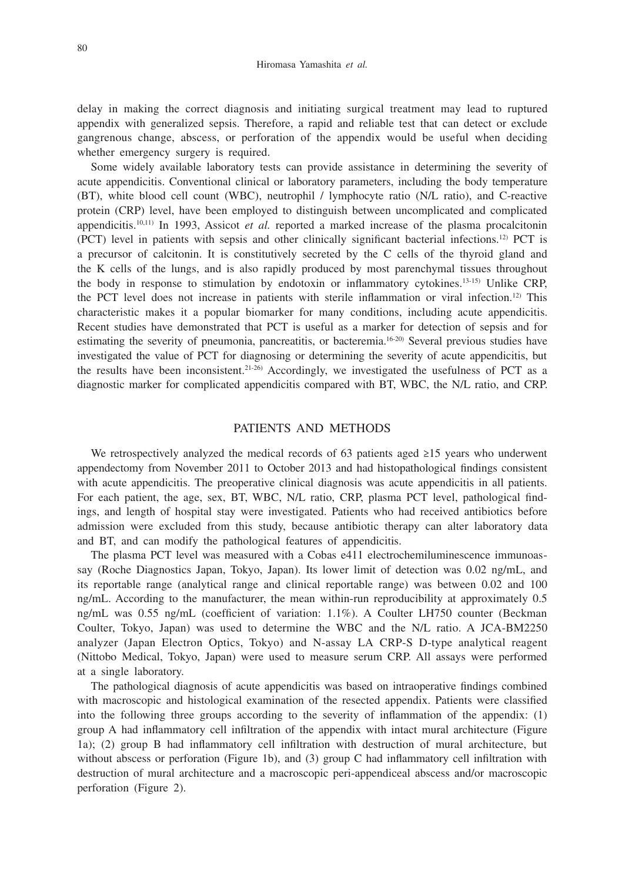delay in making the correct diagnosis and initiating surgical treatment may lead to ruptured appendix with generalized sepsis. Therefore, a rapid and reliable test that can detect or exclude gangrenous change, abscess, or perforation of the appendix would be useful when deciding whether emergency surgery is required.

Some widely available laboratory tests can provide assistance in determining the severity of acute appendicitis. Conventional clinical or laboratory parameters, including the body temperature (BT), white blood cell count (WBC), neutrophil / lymphocyte ratio (N/L ratio), and C-reactive protein (CRP) level, have been employed to distinguish between uncomplicated and complicated appendicitis.10,11) In 1993, Assicot *et al.* reported a marked increase of the plasma procalcitonin (PCT) level in patients with sepsis and other clinically significant bacterial infections.12) PCT is a precursor of calcitonin. It is constitutively secreted by the C cells of the thyroid gland and the K cells of the lungs, and is also rapidly produced by most parenchymal tissues throughout the body in response to stimulation by endotoxin or inflammatory cytokines.13-15) Unlike CRP, the PCT level does not increase in patients with sterile inflammation or viral infection.12) This characteristic makes it a popular biomarker for many conditions, including acute appendicitis. Recent studies have demonstrated that PCT is useful as a marker for detection of sepsis and for estimating the severity of pneumonia, pancreatitis, or bacteremia.16-20) Several previous studies have investigated the value of PCT for diagnosing or determining the severity of acute appendicitis, but the results have been inconsistent.<sup>21-26)</sup> Accordingly, we investigated the usefulness of PCT as a diagnostic marker for complicated appendicitis compared with BT, WBC, the N/L ratio, and CRP.

## PATIENTS AND METHODS

We retrospectively analyzed the medical records of 63 patients aged ≥15 years who underwent appendectomy from November 2011 to October 2013 and had histopathological findings consistent with acute appendicitis. The preoperative clinical diagnosis was acute appendicitis in all patients. For each patient, the age, sex, BT, WBC, N/L ratio, CRP, plasma PCT level, pathological findings, and length of hospital stay were investigated. Patients who had received antibiotics before admission were excluded from this study, because antibiotic therapy can alter laboratory data and BT, and can modify the pathological features of appendicitis.

The plasma PCT level was measured with a Cobas e411 electrochemiluminescence immunoassay (Roche Diagnostics Japan, Tokyo, Japan). Its lower limit of detection was 0.02 ng/mL, and its reportable range (analytical range and clinical reportable range) was between 0.02 and 100 ng/mL. According to the manufacturer, the mean within-run reproducibility at approximately 0.5 ng/mL was 0.55 ng/mL (coefficient of variation: 1.1%). A Coulter LH750 counter (Beckman Coulter, Tokyo, Japan) was used to determine the WBC and the N/L ratio. A JCA-BM2250 analyzer (Japan Electron Optics, Tokyo) and N-assay LA CRP-S D-type analytical reagent (Nittobo Medical, Tokyo, Japan) were used to measure serum CRP. All assays were performed at a single laboratory.

The pathological diagnosis of acute appendicitis was based on intraoperative findings combined with macroscopic and histological examination of the resected appendix. Patients were classified into the following three groups according to the severity of inflammation of the appendix: (1) group A had inflammatory cell infiltration of the appendix with intact mural architecture (Figure 1a); (2) group B had inflammatory cell infiltration with destruction of mural architecture, but without abscess or perforation (Figure 1b), and (3) group C had inflammatory cell infiltration with destruction of mural architecture and a macroscopic peri-appendiceal abscess and/or macroscopic perforation (Figure 2).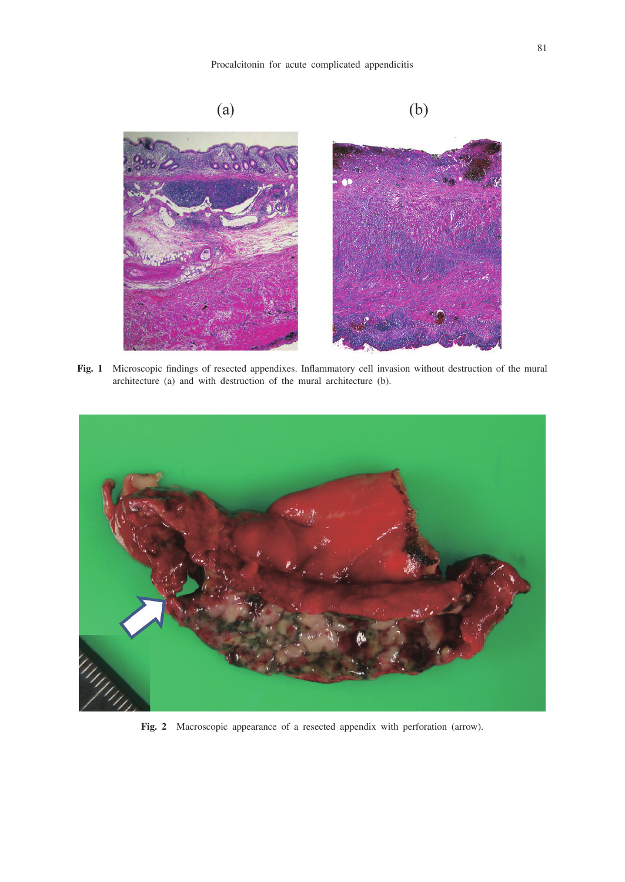## Procalcitonin for acute complicated appendicitis



Fig. 1 Microscopic findings of resected appendixes. Inflammatory cell invasion without destruction of the mural architecture (a) and with destruction of the mural architecture (b).



**Fig. 2** Macroscopic appearance of a resected appendix with perforation (arrow).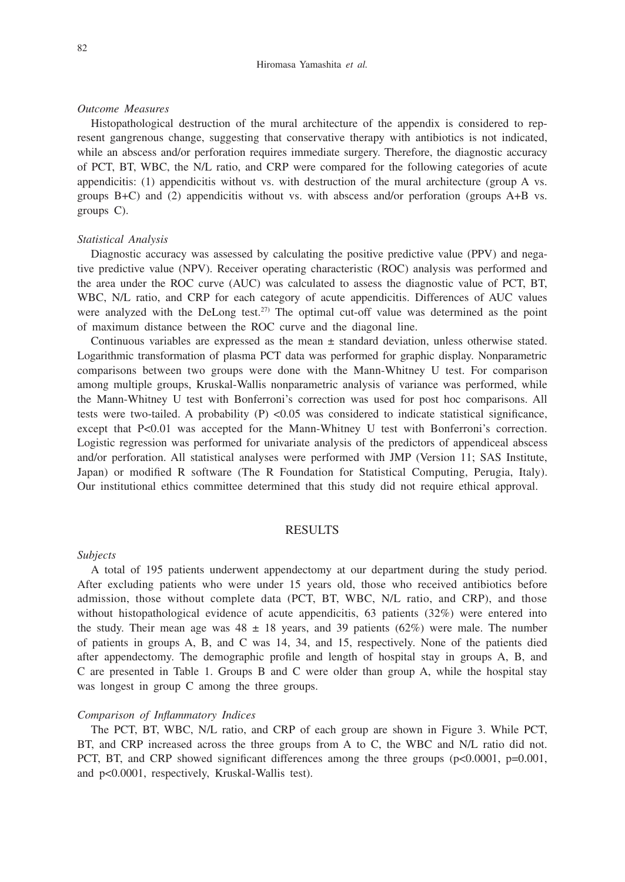#### Hiromasa Yamashita *et al.*

#### *Outcome Measures*

Histopathological destruction of the mural architecture of the appendix is considered to represent gangrenous change, suggesting that conservative therapy with antibiotics is not indicated, while an abscess and/or perforation requires immediate surgery. Therefore, the diagnostic accuracy of PCT, BT, WBC, the N/L ratio, and CRP were compared for the following categories of acute appendicitis: (1) appendicitis without vs. with destruction of the mural architecture (group A vs. groups B+C) and (2) appendicitis without vs. with abscess and/or perforation (groups A+B vs. groups C).

#### *Statistical Analysis*

Diagnostic accuracy was assessed by calculating the positive predictive value (PPV) and negative predictive value (NPV). Receiver operating characteristic (ROC) analysis was performed and the area under the ROC curve (AUC) was calculated to assess the diagnostic value of PCT, BT, WBC, N/L ratio, and CRP for each category of acute appendicitis. Differences of AUC values were analyzed with the DeLong test.<sup>27)</sup> The optimal cut-off value was determined as the point of maximum distance between the ROC curve and the diagonal line.

Continuous variables are expressed as the mean  $\pm$  standard deviation, unless otherwise stated. Logarithmic transformation of plasma PCT data was performed for graphic display. Nonparametric comparisons between two groups were done with the Mann-Whitney U test. For comparison among multiple groups, Kruskal-Wallis nonparametric analysis of variance was performed, while the Mann-Whitney U test with Bonferroni's correction was used for post hoc comparisons. All tests were two-tailed. A probability  $(P)$  <0.05 was considered to indicate statistical significance, except that P<0.01 was accepted for the Mann-Whitney U test with Bonferroni's correction. Logistic regression was performed for univariate analysis of the predictors of appendiceal abscess and/or perforation. All statistical analyses were performed with JMP (Version 11; SAS Institute, Japan) or modified R software (The R Foundation for Statistical Computing, Perugia, Italy). Our institutional ethics committee determined that this study did not require ethical approval.

### RESULTS

#### *Subjects*

A total of 195 patients underwent appendectomy at our department during the study period. After excluding patients who were under 15 years old, those who received antibiotics before admission, those without complete data (PCT, BT, WBC, N/L ratio, and CRP), and those without histopathological evidence of acute appendicitis, 63 patients (32%) were entered into the study. Their mean age was  $48 \pm 18$  years, and 39 patients (62%) were male. The number of patients in groups A, B, and C was 14, 34, and 15, respectively. None of the patients died after appendectomy. The demographic profile and length of hospital stay in groups A, B, and C are presented in Table 1. Groups B and C were older than group A, while the hospital stay was longest in group C among the three groups.

### *Comparison of Inflammatory Indices*

The PCT, BT, WBC, N/L ratio, and CRP of each group are shown in Figure 3. While PCT, BT, and CRP increased across the three groups from A to C, the WBC and N/L ratio did not. PCT, BT, and CRP showed significant differences among the three groups (p<0.0001, p=0.001, and p<0.0001, respectively, Kruskal-Wallis test).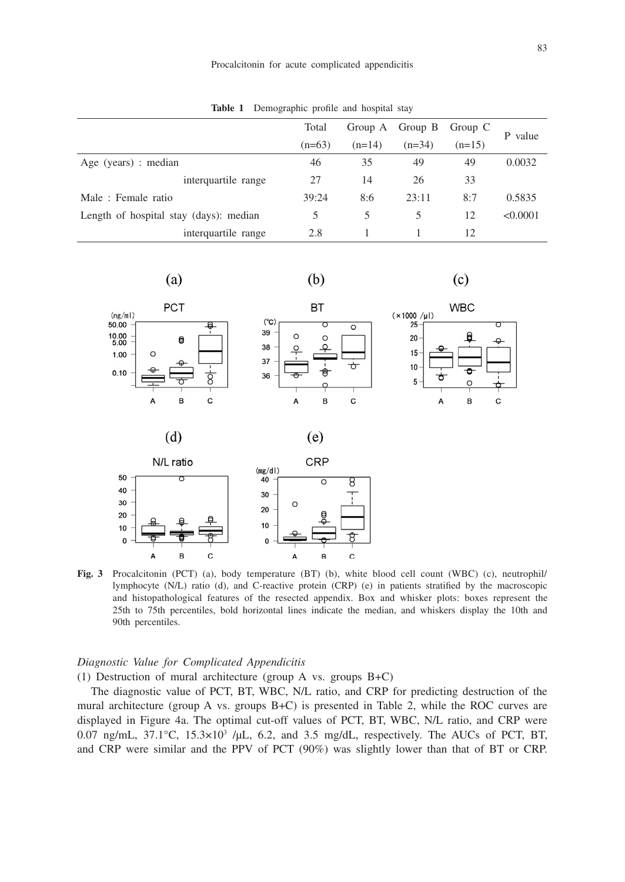**Table 1** Demographic profile and hospital stay

|                                        | Total    |          | Group A Group B | Group C  | P value  |  |
|----------------------------------------|----------|----------|-----------------|----------|----------|--|
|                                        | $(n=63)$ | $(n=14)$ | $(n=34)$        | $(n=15)$ |          |  |
| Age (years) : median                   | 46       | 35       | 49              | 49       | 0.0032   |  |
| interquartile range                    | 27       | 14       | 26              | 33       |          |  |
| Male: Female ratio                     | 39:24    | 8:6      | 23:11           | 8:7      | 0.5835   |  |
| Length of hospital stay (days): median | 5        | 5.       | 5               | 12       | < 0.0001 |  |
| interquartile range                    | 2.8      |          |                 | 12       |          |  |



**Fig. 3** Procalcitonin (PCT) (a), body temperature (BT) (b), white blood cell count (WBC) (c), neutrophil/ lymphocyte (N/L) ratio (d), and C-reactive protein (CRP) (e) in patients stratified by the macroscopic and histopathological features of the resected appendix. Box and whisker plots: boxes represent the 25th to 75th percentiles, bold horizontal lines indicate the median, and whiskers display the 10th and 90th percentiles.

## *Diagnostic Value for Complicated Appendicitis*

(1) Destruction of mural architecture (group A vs. groups B+C)

The diagnostic value of PCT, BT, WBC, N/L ratio, and CRP for predicting destruction of the mural architecture (group A vs. groups B+C) is presented in Table 2, while the ROC curves are displayed in Figure 4a. The optimal cut-off values of PCT, BT, WBC, N/L ratio, and CRP were  $0.07$  ng/mL,  $37.1^{\circ}$ C,  $15.3 \times 10^{3}$  /µL, 6.2, and 3.5 mg/dL, respectively. The AUCs of PCT, BT, and CRP were similar and the PPV of PCT (90%) was slightly lower than that of BT or CRP.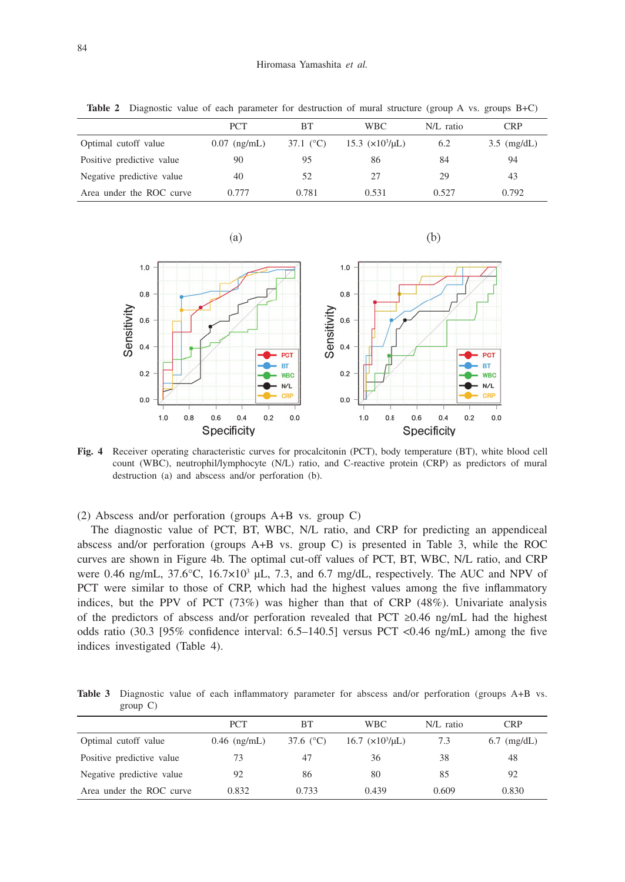|                           | <b>PCT</b>     | <b>BT</b>          | <b>WBC</b>             | N/L ratio | CRP                   |
|---------------------------|----------------|--------------------|------------------------|-----------|-----------------------|
| Optimal cutoff value      | $0.07$ (ng/mL) | 37.1 $(^{\circ}C)$ | $15.3 \ (x10^3/\mu L)$ | 6.2       | $3.5 \text{ (mg/dL)}$ |
| Positive predictive value | 90             | 95                 | 86                     | 84        | 94                    |
| Negative predictive value | 40             | 52                 | 27                     | 29        | 43                    |
| Area under the ROC curve  | 0.777          | 0.781              | 0.531                  | 0.527     | 0.792                 |

**Table 2** Diagnostic value of each parameter for destruction of mural structure (group A vs. groups B+C)



 $(b)$ 



**Fig. 4** Receiver operating characteristic curves for procalcitonin (PCT), body temperature (BT), white blood cell count (WBC), neutrophil/lymphocyte (N/L) ratio, and C-reactive protein (CRP) as predictors of mural destruction (a) and abscess and/or perforation (b).

(2) Abscess and/or perforation (groups A+B vs. group C)

The diagnostic value of PCT, BT, WBC, N/L ratio, and CRP for predicting an appendiceal abscess and/or perforation (groups A+B vs. group C) is presented in Table 3, while the ROC curves are shown in Figure 4b. The optimal cut-off values of PCT, BT, WBC, N/L ratio, and CRP were 0.46 ng/mL,  $37.6^{\circ}$ C,  $16.7 \times 10^{3}$  µL,  $7.3$ , and 6.7 mg/dL, respectively. The AUC and NPV of PCT were similar to those of CRP, which had the highest values among the five inflammatory indices, but the PPV of PCT (73%) was higher than that of CRP (48%). Univariate analysis of the predictors of abscess and/or perforation revealed that PCT ≥0.46 ng/mL had the highest odds ratio (30.3 [95% confidence interval: 6.5–140.5] versus PCT <0.46 ng/mL) among the five indices investigated (Table 4).

**Table 3** Diagnostic value of each inflammatory parameter for abscess and/or perforation (groups A+B vs. group C)

|                           | <b>PCT</b>     | BТ                 | <b>WBC</b>               | N/L ratio | <b>CRP</b>    |
|---------------------------|----------------|--------------------|--------------------------|-----------|---------------|
| Optimal cutoff value      | $0.46$ (ng/mL) | 37.6 $(^{\circ}C)$ | $16.7 \times 10^3/\mu L$ | 7.3       | $6.7$ (mg/dL) |
| Positive predictive value | 73             | 47                 | 36                       | 38        | 48            |
| Negative predictive value | 92             | 86                 | 80                       | 85        | 92            |
| Area under the ROC curve  | 0.832          | 0.733              | 0.439                    | 0.609     | 0.830         |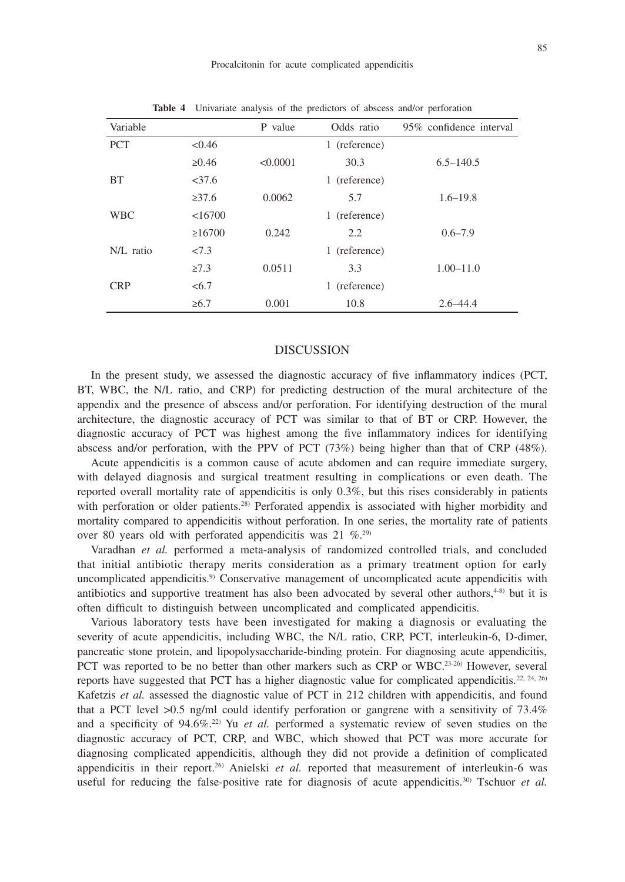| Variable    |              | P value  | Odds ratio    | 95% confidence interval |
|-------------|--------------|----------|---------------|-------------------------|
| <b>PCT</b>  | < 0.46       |          | 1 (reference) |                         |
|             | $\ge 0.46$   | < 0.0001 | 30.3          | $6.5 - 140.5$           |
| <b>BT</b>   | <37.6        |          | 1 (reference) |                         |
|             | $\geq 37.6$  | 0.0062   | 5.7           | $1.6 - 19.8$            |
| <b>WBC</b>  | <16700       |          | 1 (reference) |                         |
|             | $\geq 16700$ | 0.242    | 2.2           | $0.6 - 7.9$             |
| $N/L$ ratio | 27.3         |          | 1 (reference) |                         |
|             | $\geq 7.3$   | 0.0511   | 3.3           | $1.00 - 11.0$           |
| <b>CRP</b>  | <6.7         |          | 1 (reference) |                         |
|             | $\geq 6.7$   | 0.001    | 10.8          | $2.6 - 44.4$            |

**Table 4** Univariate analysis of the predictors of abscess and/or perforation

## DISCUSSION

In the present study, we assessed the diagnostic accuracy of five inflammatory indices (PCT, BT, WBC, the N/L ratio, and CRP) for predicting destruction of the mural architecture of the appendix and the presence of abscess and/or perforation. For identifying destruction of the mural architecture, the diagnostic accuracy of PCT was similar to that of BT or CRP. However, the diagnostic accuracy of PCT was highest among the five inflammatory indices for identifying abscess and/or perforation, with the PPV of PCT (73%) being higher than that of CRP (48%).

Acute appendicitis is a common cause of acute abdomen and can require immediate surgery, with delayed diagnosis and surgical treatment resulting in complications or even death. The reported overall mortality rate of appendicitis is only 0.3%, but this rises considerably in patients with perforation or older patients.<sup>28)</sup> Perforated appendix is associated with higher morbidity and mortality compared to appendicitis without perforation. In one series, the mortality rate of patients over 80 years old with perforated appendicitis was  $21\%$ .<sup>29)</sup>

Varadhan *et al.* performed a meta-analysis of randomized controlled trials, and concluded that initial antibiotic therapy merits consideration as a primary treatment option for early uncomplicated appendicitis.<sup>9)</sup> Conservative management of uncomplicated acute appendicitis with antibiotics and supportive treatment has also been advocated by several other authors, $4-8$ ) but it is often difficult to distinguish between uncomplicated and complicated appendicitis.

Various laboratory tests have been investigated for making a diagnosis or evaluating the severity of acute appendicitis, including WBC, the N/L ratio, CRP, PCT, interleukin-6, D-dimer, pancreatic stone protein, and lipopolysaccharide-binding protein. For diagnosing acute appendicitis, PCT was reported to be no better than other markers such as CRP or WBC.<sup>23-26)</sup> However, several reports have suggested that PCT has a higher diagnostic value for complicated appendicitis.<sup>22, 24, 26)</sup> Kafetzis *et al.* assessed the diagnostic value of PCT in 212 children with appendicitis, and found that a PCT level >0.5 ng/ml could identify perforation or gangrene with a sensitivity of 73.4% and a specificity of 94.6%.22) Yu *et al.* performed a systematic review of seven studies on the diagnostic accuracy of PCT, CRP, and WBC, which showed that PCT was more accurate for diagnosing complicated appendicitis, although they did not provide a definition of complicated appendicitis in their report.26) Anielski *et al.* reported that measurement of interleukin-6 was useful for reducing the false-positive rate for diagnosis of acute appendicitis.<sup>30)</sup> Tschuor *et al.*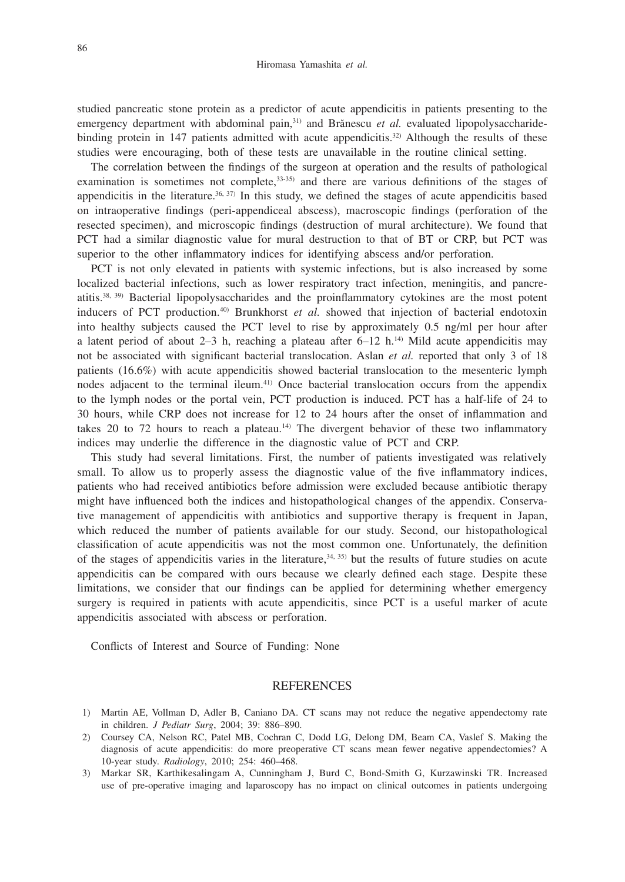studied pancreatic stone protein as a predictor of acute appendicitis in patients presenting to the emergency department with abdominal pain,<sup>31)</sup> and Brănescu et al. evaluated lipopolysaccharidebinding protein in 147 patients admitted with acute appendicitis.<sup>32</sup> Although the results of these studies were encouraging, both of these tests are unavailable in the routine clinical setting.

The correlation between the findings of the surgeon at operation and the results of pathological examination is sometimes not complete, $33-35$  and there are various definitions of the stages of appendicitis in the literature.<sup>36, 37)</sup> In this study, we defined the stages of acute appendicitis based on intraoperative findings (peri-appendiceal abscess), macroscopic findings (perforation of the resected specimen), and microscopic findings (destruction of mural architecture). We found that PCT had a similar diagnostic value for mural destruction to that of BT or CRP, but PCT was superior to the other inflammatory indices for identifying abscess and/or perforation.

PCT is not only elevated in patients with systemic infections, but is also increased by some localized bacterial infections, such as lower respiratory tract infection, meningitis, and pancreatitis.38, 39) Bacterial lipopolysaccharides and the proinflammatory cytokines are the most potent inducers of PCT production.40) Brunkhorst *et al.* showed that injection of bacterial endotoxin into healthy subjects caused the PCT level to rise by approximately 0.5 ng/ml per hour after a latent period of about  $2-3$  h, reaching a plateau after  $6-12$  h.<sup>14)</sup> Mild acute appendicitis may not be associated with significant bacterial translocation. Aslan *et al.* reported that only 3 of 18 patients (16.6%) with acute appendicitis showed bacterial translocation to the mesenteric lymph nodes adjacent to the terminal ileum.41) Once bacterial translocation occurs from the appendix to the lymph nodes or the portal vein, PCT production is induced. PCT has a half-life of 24 to 30 hours, while CRP does not increase for 12 to 24 hours after the onset of inflammation and takes 20 to 72 hours to reach a plateau.<sup>14)</sup> The divergent behavior of these two inflammatory indices may underlie the difference in the diagnostic value of PCT and CRP.

This study had several limitations. First, the number of patients investigated was relatively small. To allow us to properly assess the diagnostic value of the five inflammatory indices, patients who had received antibiotics before admission were excluded because antibiotic therapy might have influenced both the indices and histopathological changes of the appendix. Conservative management of appendicitis with antibiotics and supportive therapy is frequent in Japan, which reduced the number of patients available for our study. Second, our histopathological classification of acute appendicitis was not the most common one. Unfortunately, the definition of the stages of appendicitis varies in the literature, $34, 35$  but the results of future studies on acute appendicitis can be compared with ours because we clearly defined each stage. Despite these limitations, we consider that our findings can be applied for determining whether emergency surgery is required in patients with acute appendicitis, since PCT is a useful marker of acute appendicitis associated with abscess or perforation.

Conflicts of Interest and Source of Funding: None

## **REFERENCES**

- 1) Martin AE, Vollman D, Adler B, Caniano DA. CT scans may not reduce the negative appendectomy rate in children. *J Pediatr Surg*, 2004; 39: 886–890.
- 2) Coursey CA, Nelson RC, Patel MB, Cochran C, Dodd LG, Delong DM, Beam CA, Vaslef S. Making the diagnosis of acute appendicitis: do more preoperative CT scans mean fewer negative appendectomies? A 10-year study. *Radiology*, 2010; 254: 460–468.
- 3) Markar SR, Karthikesalingam A, Cunningham J, Burd C, Bond-Smith G, Kurzawinski TR. Increased use of pre-operative imaging and laparoscopy has no impact on clinical outcomes in patients undergoing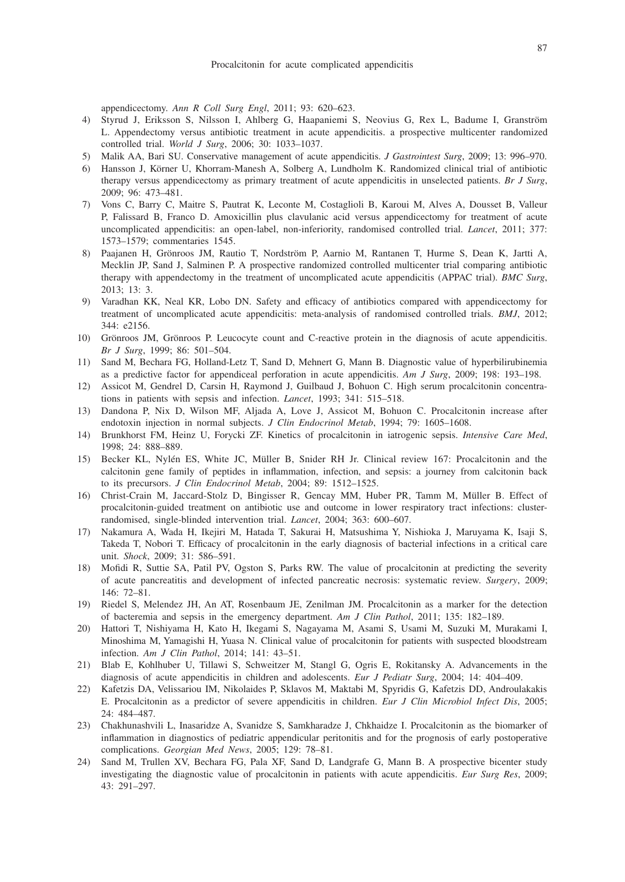appendicectomy. *Ann R Coll Surg Engl*, 2011; 93: 620–623.

- 4) Styrud J, Eriksson S, Nilsson I, Ahlberg G, Haapaniemi S, Neovius G, Rex L, Badume I, Granström L. Appendectomy versus antibiotic treatment in acute appendicitis. a prospective multicenter randomized controlled trial. *World J Surg*, 2006; 30: 1033–1037.
- 5) Malik AA, Bari SU. Conservative management of acute appendicitis. *J Gastrointest Surg*, 2009; 13: 996–970.
- 6) Hansson J, Körner U, Khorram-Manesh A, Solberg A, Lundholm K. Randomized clinical trial of antibiotic therapy versus appendicectomy as primary treatment of acute appendicitis in unselected patients. *Br J Surg*, 2009; 96: 473–481.
- 7) Vons C, Barry C, Maitre S, Pautrat K, Leconte M, Costaglioli B, Karoui M, Alves A, Dousset B, Valleur P, Falissard B, Franco D. Amoxicillin plus clavulanic acid versus appendicectomy for treatment of acute uncomplicated appendicitis: an open-label, non-inferiority, randomised controlled trial. *Lancet*, 2011; 377: 1573–1579; commentaries 1545.
- 8) Paajanen H, Grönroos JM, Rautio T, Nordström P, Aarnio M, Rantanen T, Hurme S, Dean K, Jartti A, Mecklin JP, Sand J, Salminen P. A prospective randomized controlled multicenter trial comparing antibiotic therapy with appendectomy in the treatment of uncomplicated acute appendicitis (APPAC trial). *BMC Surg*, 2013; 13: 3.
- 9) Varadhan KK, Neal KR, Lobo DN. Safety and efficacy of antibiotics compared with appendicectomy for treatment of uncomplicated acute appendicitis: meta-analysis of randomised controlled trials. *BMJ*, 2012; 344: e2156.
- 10) Grönroos JM, Grönroos P. Leucocyte count and C-reactive protein in the diagnosis of acute appendicitis. *Br J Surg*, 1999; 86: 501–504.
- 11) Sand M, Bechara FG, Holland-Letz T, Sand D, Mehnert G, Mann B. Diagnostic value of hyperbilirubinemia as a predictive factor for appendiceal perforation in acute appendicitis. *Am J Surg*, 2009; 198: 193–198.
- 12) Assicot M, Gendrel D, Carsin H, Raymond J, Guilbaud J, Bohuon C. High serum procalcitonin concentrations in patients with sepsis and infection. *Lancet*, 1993; 341: 515–518.
- 13) Dandona P, Nix D, Wilson MF, Aljada A, Love J, Assicot M, Bohuon C. Procalcitonin increase after endotoxin injection in normal subjects. *J Clin Endocrinol Metab*, 1994; 79: 1605–1608.
- 14) Brunkhorst FM, Heinz U, Forycki ZF. Kinetics of procalcitonin in iatrogenic sepsis. *Intensive Care Med*, 1998; 24: 888–889.
- 15) Becker KL, Nylén ES, White JC, Müller B, Snider RH Jr. Clinical review 167: Procalcitonin and the calcitonin gene family of peptides in inflammation, infection, and sepsis: a journey from calcitonin back to its precursors. *J Clin Endocrinol Metab*, 2004; 89: 1512–1525.
- 16) Christ-Crain M, Jaccard-Stolz D, Bingisser R, Gencay MM, Huber PR, Tamm M, Müller B. Effect of procalcitonin-guided treatment on antibiotic use and outcome in lower respiratory tract infections: clusterrandomised, single-blinded intervention trial. *Lancet*, 2004; 363: 600–607.
- 17) Nakamura A, Wada H, Ikejiri M, Hatada T, Sakurai H, Matsushima Y, Nishioka J, Maruyama K, Isaji S, Takeda T, Nobori T. Efficacy of procalcitonin in the early diagnosis of bacterial infections in a critical care unit. *Shock*, 2009; 31: 586–591.
- 18) Mofidi R, Suttie SA, Patil PV, Ogston S, Parks RW. The value of procalcitonin at predicting the severity of acute pancreatitis and development of infected pancreatic necrosis: systematic review. *Surgery*, 2009; 146: 72–81.
- 19) Riedel S, Melendez JH, An AT, Rosenbaum JE, Zenilman JM. Procalcitonin as a marker for the detection of bacteremia and sepsis in the emergency department. *Am J Clin Pathol*, 2011; 135: 182–189.
- 20) Hattori T, Nishiyama H, Kato H, Ikegami S, Nagayama M, Asami S, Usami M, Suzuki M, Murakami I, Minoshima M, Yamagishi H, Yuasa N. Clinical value of procalcitonin for patients with suspected bloodstream infection. *Am J Clin Pathol*, 2014; 141: 43–51.
- 21) Blab E, Kohlhuber U, Tillawi S, Schweitzer M, Stangl G, Ogris E, Rokitansky A. Advancements in the diagnosis of acute appendicitis in children and adolescents. *Eur J Pediatr Surg*, 2004; 14: 404–409.
- 22) Kafetzis DA, Velissariou IM, Nikolaides P, Sklavos M, Maktabi M, Spyridis G, Kafetzis DD, Androulakakis E. Procalcitonin as a predictor of severe appendicitis in children. *Eur J Clin Microbiol Infect Dis*, 2005; 24: 484–487.
- 23) Chakhunashvili L, Inasaridze A, Svanidze S, Samkharadze J, Chkhaidze I. Procalcitonin as the biomarker of inflammation in diagnostics of pediatric appendicular peritonitis and for the prognosis of early postoperative complications. *Georgian Med News*, 2005; 129: 78–81.
- 24) Sand M, Trullen XV, Bechara FG, Pala XF, Sand D, Landgrafe G, Mann B. A prospective bicenter study investigating the diagnostic value of procalcitonin in patients with acute appendicitis. *Eur Surg Res*, 2009; 43: 291–297.